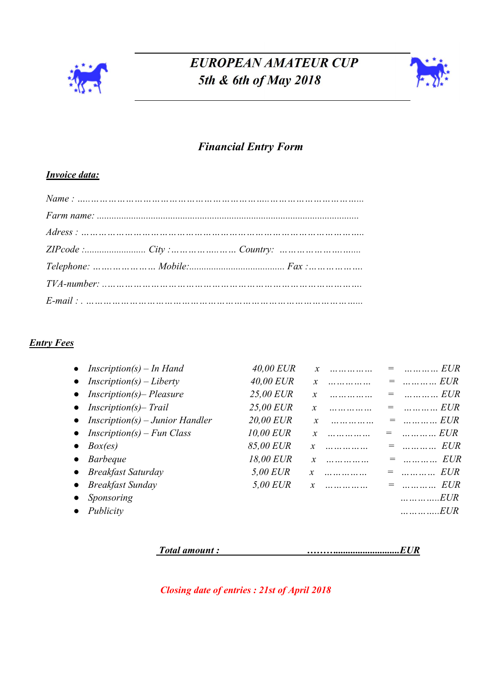

# EUROPEAN AMATEUR CUP 5th & 6th of May 2018



### Financial Entry Form

#### Invoice data:

#### **Entry Fees**

| • Inscription(s) – In Hand               | 40,00 EUR        |                    | $=$ EUR                             |
|------------------------------------------|------------------|--------------------|-------------------------------------|
| $Inscription(s) - Liberty$               | 40,00 EUR        | $\mathbf{x}$       |                                     |
| $Inscription(s)$ – Pleasure<br>$\bullet$ | 25.00 EUR        | $\mathcal{X}$      |                                     |
| $Inscription(s)$ - Trail<br>$\bullet$    | 25,00 EUR        | $\mathfrak{X}$     |                                     |
| • Inscription(s) – Junior Handler        | <b>20.00 EUR</b> | .                  | $\ldots \ldots \ldots$ EUR<br>$=$   |
| • Inscription(s) – Fun Class             | 10,00 EUR        | $\mathbf{x}$       | $\ldots \ldots \ldots$ EUR<br>$=$   |
| Box(es)<br>$\bullet$                     | 85.00 EUR        | .                  | $=$ EUR                             |
| <i>Barbeque</i><br>$\bullet$             | 18,00 EUR        | $\mathcal{X}$<br>. | $=$ EUR                             |
| • Breakfast Saturday                     | 5,00 EUR         | $\mathcal{X}$      | $\ldots \ldots \ldots$ EUR          |
| <b>Breakfast Sunday</b>                  | 5.00 EUR         |                    | $\ldots \ldots \ldots$ $EUR$<br>$=$ |
| Sponsoring                               |                  |                    | $\dots \dots \dots \dots EUR$       |
| Publicity                                |                  |                    | $\dots \dots \dots \dots ELR$       |
|                                          |                  |                    |                                     |

Total amount : <u>manual</u> contract the manual contract of the manual contract of the manual contract of the manual contract of the manual contract of the manual contract of the manual contract of the manual contract of the m

Closing date of entries : 21st of April 2018